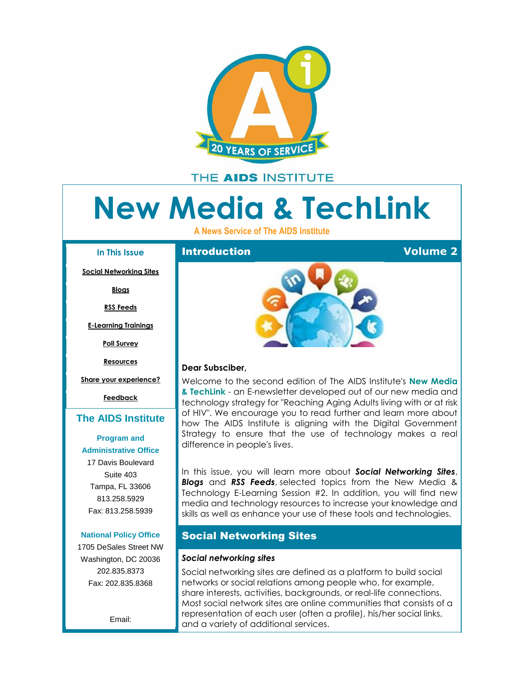<span id="page-0-0"></span>

# THE AIDS INSTITUTE

# **New Media & TechLink**

**A News Service of The AIDS Institute**

#### **In This Issue**

**[Social Networking Sites](#page-0-0)**

**[Blogs](#page-1-0)**

**[RSS Feeds](#page-2-0)**

**[E-Learning Trainings](#page-3-0)**

**[Poll Survey](#page-3-0)**

**[Resources](#page-4-0)**

**[Share your experience?](#page-4-0)**

**[Feedback](#page-4-0)**

## **[The AIDS Institute](http://r20.rs6.net/tn.jsp?et=1109379879950&s=0&e=0013peMwM9_zJELiJM2uZEGXTH-06b5imtnFkQVa0T773Y-KUoSOFEfdPm79B1_8wrZI9U79vn1399lFQlY501WTN5OZUXOrv7Cr7NZWRrRiSX8Gvas74KY0viCP4UGIa7J)**

## **[Program and](http://r20.rs6.net/tn.jsp?et=1109379879950&s=0&e=0013peMwM9_zJELiJM2uZEGXTH-06b5imtnFkQVa0T773Y-KUoSOFEfdPm79B1_8wrZI9U79vn1399lFQlY501WTN5OZUXOrv7Cr7NZWRrRiSX8Gvas74KY0viCP4UGIa7J)  Administrative Office**

17 Davis Boulevard Suite 403 Tampa, FL 33606 813.258.5929 Fax: 813.258.5939

## **[National](http://r20.rs6.net/tn.jsp?et=1109379879950&s=0&e=0013peMwM9_zJELiJM2uZEGXTH-06b5imtnFkQVa0T773Y-KUoSOFEfdPm79B1_8wrZI9U79vn1399lFQlY501WTN5OZUXOrv7Cr7NZWRrRiSX8Gvas74KY0viCP4UGIa7J) Policy Office**

1705 DeSales Street NW Washington, DC 20036 202.835.8373 Fax: 202.835.8368

Email:



## **Dear Subsciber,**

Welcome to the second edition of The AIDS Institute's **New Media & TechLink** - an E-newsletter developed out of our new media and technology strategy for "Reaching Aging Adults living with or at risk of HIV". We encourage you to read further and learn more about how The AIDS Institute is aligning with the Digital Government Strategy to ensure that the use of technology makes a real difference in people's lives.

In this issue, you will learn more about *Social Networking Sites*, *Blogs* and *RSS Feeds*, selected topics from the New Media & Technology E-Learning Session #2. In addition, you will find new media and technology resources to increase your knowledge and skills as well as enhance your use of these tools and technologies.

# Social Networking Sites

## *Social networking sites*

Social networking sites are defined as a platform to build social networks or social relations among people who, for example, share interests, activities, backgrounds, or real-life connections. Most social network sites are online communities that consists of a representation of each user (often a profile), his/her social links, and a variety of additional services.

**Introduction Volume 2**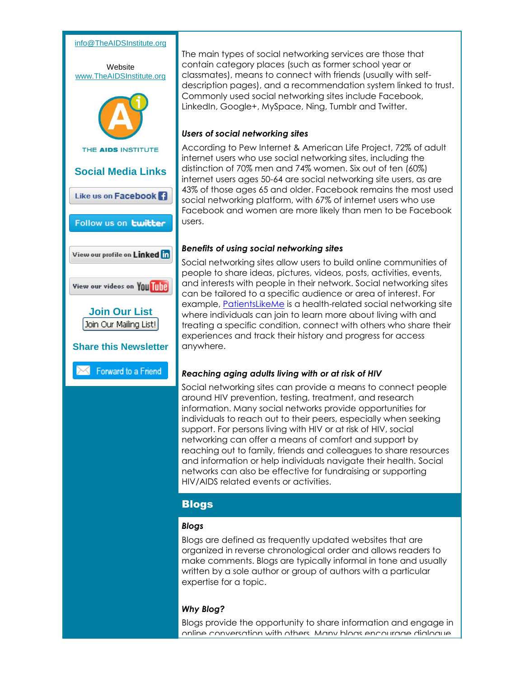## [info@TheAIDSInstitute.org](mailto:info@TheAIDSInstitute.org)

<span id="page-1-0"></span>

The main types of social networking services are those that contain category places (such as former school year or classmates), means to connect with friends (usually with selfdescription pages), and a recommendation system linked to trust. Commonly used social networking sites include Facebook, LinkedIn, Google+, MySpace, Ning, Tumblr and Twitter.

## *Users of social networking sites*

According to Pew Internet & American Life Project, 72% of adult internet users who use social networking sites, including the distinction of 70% men and 74% women. Six out of ten (60%) internet users ages 50-64 are social networking site users, as are 43% of those ages 65 and older. Facebook remains the most used social networking platform, with 67% of internet users who use Facebook and women are more likely than men to be Facebook users.

## *Benefits of using social networking sites*

Social networking sites allow users to build online communities of people to share ideas, pictures, videos, posts, activities, events, and interests with people in their network. Social networking sites can be tailored to a specific audience or area of interest. For example, [PatientsLikeMe](http://r20.rs6.net/tn.jsp?t=6podmcoab.0.yw9a7coab.8jy9x9dab.18492&ts=S0949&r=3&p=http%3A%2F%2Fwww.patientslikeme.com%2Fconditions%2F6-hiv-human-immunodeficiency-virus%3Futm_source%3DThe%2BAIDS%2BInstitute%2527s%2BNew%2BMedia%2B%2526%2BTechLink%2BE-Newsletter-Volume%2B2%26utm_campaign%3DNewsletter%26utm_medium%3Demail) is a health-related social networking site where individuals can join to learn more about living with and treating a specific condition, connect with others who share their experiences and track their history and progress for access anywhere.

### *Reaching aging adults living with or at risk of HIV*

Social networking sites can provide a means to connect people around HIV prevention, testing, treatment, and research information. Many social networks provide opportunities for individuals to reach out to their peers, especially when seeking support. For persons living with HIV or at risk of HIV, social networking can offer a means of comfort and support by reaching out to family, friends and colleagues to share resources and information or help individuals navigate their health. Social networks can also be effective for fundraising or supporting HIV/AIDS related events or activities.

## Blogs

#### *Blogs*

Blogs are defined as frequently updated websites that are organized in reverse chronological order and allows readers to make comments. Blogs are typically informal in tone and usually written by a sole author or group of authors with a particular expertise for a topic.

### *Why Blog?*

Blogs provide the opportunity to share information and engage in online conversation with others. Many blogs encourage dialogue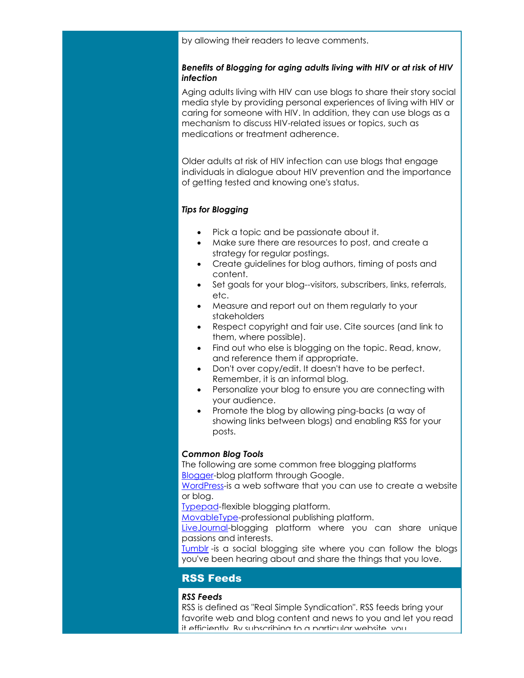<span id="page-2-0"></span>by allowing their readers to leave comments.

## *Benefits of Blogging for aging adults living with HIV or at risk of HIV infection*

Aging adults living with HIV can use blogs to share their story social media style by providing personal experiences of living with HIV or caring for someone with HIV. In addition, they can use blogs as a mechanism to discuss HIV-related issues or topics, such as medications or treatment adherence.

Older adults at risk of HIV infection can use blogs that engage individuals in dialogue about HIV prevention and the importance of getting tested and knowing one's status.

## *Tips for Blogging*

- Pick a topic and be passionate about it.
- Make sure there are resources to post, and create a strategy for regular postings.
- Create guidelines for blog authors, timing of posts and content.
- Set goals for your blog--visitors, subscribers, links, referrals, etc.
- Measure and report out on them regularly to your stakeholders
- Respect copyright and fair use. Cite sources (and link to them, where possible).
- Find out who else is blogging on the topic. Read, know, and reference them if appropriate.
- Don't over copy/edit. It doesn't have to be perfect. Remember, it is an informal blog.
- Personalize your blog to ensure you are connecting with your audience.
- Promote the blog by allowing ping-backs (a way of showing links between blogs) and enabling RSS for your posts.

## *Common Blog Tools*

The following are some common free blogging platforms **[Blogger-](http://r20.rs6.net/tn.jsp?t=6podmcoab.0.zw9a7coab.8jy9x9dab.18492&ts=S0949&r=3&p=https%3A%2F%2Faccounts.google.com%2FServiceLogin%3Fservice%3Dblogger%26passive%3D1209600%26continue%3Dhttp%3A%2F%2Fwww.blogger.com%2Fhome%26followup%3Dhttp%3A%2F%2Fwww.blogger.com%2Fhome%26ltmpl%3Dstart%23s01%26utm_source%3DThe%2BAIDS%2BInstitute%2527s%2BNew%2BMedia%2B%2526%2BTechLink%2BE-Newsletter-Volume%2B2%26utm_campaign%3DNewsletter%26utm_medium%3Demail)blog platform through Google.** 

[WordPress-](http://r20.rs6.net/tn.jsp?t=6podmcoab.0.9w9a7coab.8jy9x9dab.18492&ts=S0949&r=3&p=http%3A%2F%2Fwordpress.org%2F%3Futm_source%3DThe%2BAIDS%2BInstitute%2527s%2BNew%2BMedia%2B%2526%2BTechLink%2BE-Newsletter-Volume%2B2%26utm_campaign%3DNewsletter%26utm_medium%3Demail)is a web software that you can use to create a website or blog.

[Typepad-](http://r20.rs6.net/tn.jsp?t=6podmcoab.0.8w9a7coab.8jy9x9dab.18492&ts=S0949&r=3&p=http%3A%2F%2Fwww.typepad.com%2F%3Futm_source%3DThe%2BAIDS%2BInstitute%2527s%2BNew%2BMedia%2B%2526%2BTechLink%2BE-Newsletter-Volume%2B2%26utm_campaign%3DNewsletter%26utm_medium%3Demail)flexible blogging platform.

[MovableType-](http://r20.rs6.net/tn.jsp?t=6podmcoab.0.7w9a7coab.8jy9x9dab.18492&ts=S0949&r=3&p=http%3A%2F%2Fwww.movabletype.org%2F%3Futm_source%3DThe%2BAIDS%2BInstitute%2527s%2BNew%2BMedia%2B%2526%2BTechLink%2BE-Newsletter-Volume%2B2%26utm_campaign%3DNewsletter%26utm_medium%3Demail)professional publishing platform.

[LiveJournal-](http://r20.rs6.net/tn.jsp?t=6podmcoab.0.6w9a7coab.8jy9x9dab.18492&ts=S0949&r=3&p=http%3A%2F%2Fwww.livejournal.com%2F%3Futm_source%3DThe%2BAIDS%2BInstitute%2527s%2BNew%2BMedia%2B%2526%2BTechLink%2BE-Newsletter-Volume%2B2%26utm_campaign%3DNewsletter%26utm_medium%3Demail)blogging platform where you can share unique passions and interests.

[Tumblr](http://r20.rs6.net/tn.jsp?t=6podmcoab.0.5w9a7coab.8jy9x9dab.18492&ts=S0949&r=3&p=https%3A%2F%2Fwww.tumblr.com%2F%3Futm_source%3DThe%2BAIDS%2BInstitute%2527s%2BNew%2BMedia%2B%2526%2BTechLink%2BE-Newsletter-Volume%2B2%26utm_campaign%3DNewsletter%26utm_medium%3Demail) -is a social blogging site where you can follow the blogs you've been hearing about and share the things that you love.

# RSS Feeds

## *RSS Feeds*

RSS is defined as "Real Simple Syndication". RSS feeds bring your favorite web and blog content and news to you and let you read it efficiently. By subscribing to a particular website, you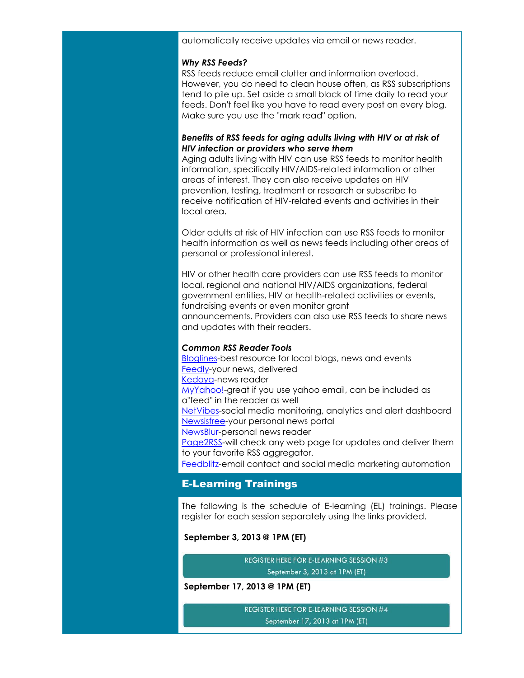<span id="page-3-0"></span>automatically receive updates via email or news reader.

#### *Why RSS Feeds?*

RSS feeds reduce email clutter and information overload. However, you do need to clean house often, as RSS subscriptions tend to pile up. Set aside a small block of time daily to read your feeds. Don't feel like you have to read every post on every blog. Make sure you use the "mark read" option.

## *Benefits of RSS feeds for aging adults living with HIV or at risk of HIV infection or providers who serve them*

Aging adults living with HIV can use RSS feeds to monitor health information, specifically HIV/AIDS-related information or other areas of interest. They can also receive updates on HIV prevention, testing, treatment or research or subscribe to receive notification of HIV-related events and activities in their local area.

Older adults at risk of HIV infection can use RSS feeds to monitor health information as well as news feeds including other areas of personal or professional interest.

HIV or other health care providers can use RSS feeds to monitor local, regional and national HIV/AIDS organizations, federal government entities, HIV or health-related activities or events, fundraising events or even monitor grant announcements. Providers can also use RSS feeds to share news and updates with their readers.

### *Common RSS Reader Tools*

**[Bloglines-](http://r20.rs6.net/tn.jsp?t=6podmcoab.0.4w9a7coab.8jy9x9dab.18492&ts=S0949&r=3&p=http%3A%2F%2Fwww.bloglines.com%2F%3Futm_source%3DThe%2BAIDS%2BInstitute%2527s%2BNew%2BMedia%2B%2526%2BTechLink%2BE-Newsletter-Volume%2B2%26utm_campaign%3DNewsletter%26utm_medium%3Demail)best resource for local blogs, news and events** [Feedly-](http://r20.rs6.net/tn.jsp?t=6podmcoab.0.ax9a7coab.8jy9x9dab.18492&ts=S0949&r=3&p=http%3A%2F%2Fcloud.feedly.com%2F%3Futm_source%3DThe%2BAIDS%2BInstitute%2527s%2BNew%2BMedia%2B%2526%2BTechLink%2BE-Newsletter-Volume%2B2%26utm_campaign%3DNewsletter%26utm_medium%3Demail)your news, delivered [Kedoya-](http://r20.rs6.net/tn.jsp?t=6podmcoab.0.bx9a7coab.8jy9x9dab.18492&ts=S0949&r=3&p=http%3A%2F%2Fwww.kedoya.com%2F%3Futm_source%3DThe%2BAIDS%2BInstitute%2527s%2BNew%2BMedia%2B%2526%2BTechLink%2BE-Newsletter-Volume%2B2%26utm_campaign%3DNewsletter%26utm_medium%3Demail)news reader [MyYahoo!-](http://r20.rs6.net/tn.jsp?t=6podmcoab.0.cx9a7coab.8jy9x9dab.18492&ts=S0949&r=3&p=http%3A%2F%2Fmy.yahoo.com%2F%3Futm_source%3DThe%2BAIDS%2BInstitute%2527s%2BNew%2BMedia%2B%2526%2BTechLink%2BE-Newsletter-Volume%2B2%26utm_campaign%3DNewsletter%26utm_medium%3Demail)great if you use yahoo email, can be included as a"feed" in the reader as well [NetVibes-](http://r20.rs6.net/tn.jsp?t=6podmcoab.0.dx9a7coab.8jy9x9dab.18492&ts=S0949&r=3&p=http%3A%2F%2Fwww.netvibes.com%2Fen%3Futm_source%3DThe%2BAIDS%2BInstitute%2527s%2BNew%2BMedia%2B%2526%2BTechLink%2BE-Newsletter-Volume%2B2%26utm_campaign%3DNewsletter%26utm_medium%3Demail)social media monitoring, analytics and alert dashboard [Newsisfree-](http://r20.rs6.net/tn.jsp?t=6podmcoab.0.ex9a7coab.8jy9x9dab.18492&ts=S0949&r=3&p=http%3A%2F%2Fwww.newsisfree.com%2F%3Futm_source%3DThe%2BAIDS%2BInstitute%2527s%2BNew%2BMedia%2B%2526%2BTechLink%2BE-Newsletter-Volume%2B2%26utm_campaign%3DNewsletter%26utm_medium%3Demail)your personal news portal [NewsBlur-](http://r20.rs6.net/tn.jsp?t=6podmcoab.0.fx9a7coab.8jy9x9dab.18492&ts=S0949&r=3&p=http%3A%2F%2Fwww.newsblur.com%2F%3Futm_source%3DThe%2BAIDS%2BInstitute%2527s%2BNew%2BMedia%2B%2526%2BTechLink%2BE-Newsletter-Volume%2B2%26utm_campaign%3DNewsletter%26utm_medium%3Demail)personal news reader [Page2RSS-](http://r20.rs6.net/tn.jsp?t=6podmcoab.0.gx9a7coab.8jy9x9dab.18492&ts=S0949&r=3&p=http%3A%2F%2Fpage2rss.com%2F%3Futm_source%3DThe%2BAIDS%2BInstitute%2527s%2BNew%2BMedia%2B%2526%2BTechLink%2BE-Newsletter-Volume%2B2%26utm_campaign%3DNewsletter%26utm_medium%3Demail)will check any web page for updates and deliver them to your favorite RSS aggregator. [Feedblitz-](http://r20.rs6.net/tn.jsp?t=6podmcoab.0.hx9a7coab.8jy9x9dab.18492&ts=S0949&r=3&p=http%3A%2F%2Fwww.feedblitz.com%2F%3Futm_source%3DThe%2BAIDS%2BInstitute%2527s%2BNew%2BMedia%2B%2526%2BTechLink%2BE-Newsletter-Volume%2B2%26utm_campaign%3DNewsletter%26utm_medium%3Demail)email contact and social media marketing automation

# E-Learning Trainings

The following is the schedule of E-learning (EL) trainings. Please register for each session separately using the links provided.

## **September 3, 2013 @ 1PM (ET)**

**REGISTER HERE FOR E-LEARNING SESSION #3** September 3, 2013 at 1PM (ET)

### **September 17, 2013 @ 1PM (ET)**

REGISTER HERE FOR E-LEARNING SESSION #4 September 17, 2013 at 1PM (ET)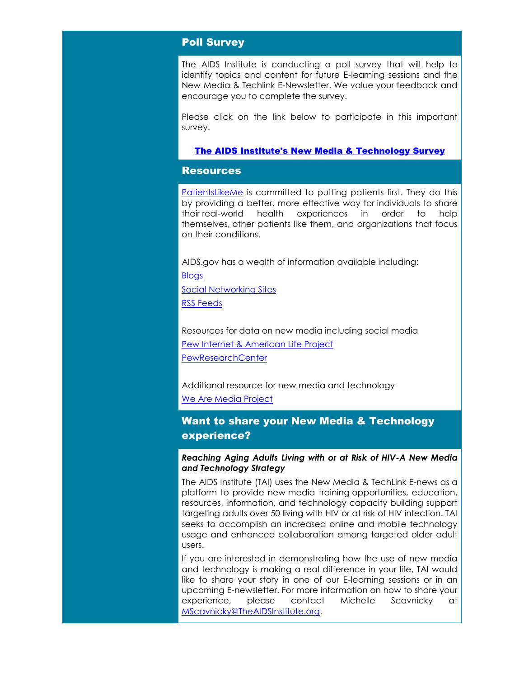# <span id="page-4-0"></span>Poll Survey

The AIDS Institute is conducting a poll survey that will help to identify topics and content for future E-learning sessions and the New Media & Techlink E-Newsletter. We value your feedback and encourage you to complete the survey.

Please click on the link below to participate in this important survey.

## [The AIDS Institute's New Media & Technology Survey](http://r20.rs6.net/tn.jsp?t=6podmcoab.0.esayp6nab.8jy9x9dab.18492&ts=S0949&r=3&p=http%3A%2F%2Fsurvey.constantcontact.com%2Fsurvey%2Fa07e7ywsopjhk302fzi%2Fstart%3Fs%3Da02e9ogu8s2icx)

## **Resources**

[PatientsLikeMe](http://r20.rs6.net/tn.jsp?t=6podmcoab.0.yw9a7coab.8jy9x9dab.18492&ts=S0949&r=3&p=http%3A%2F%2Fwww.patientslikeme.com%2Fconditions%2F6-hiv-human-immunodeficiency-virus%3Futm_source%3DThe%2BAIDS%2BInstitute%2527s%2BNew%2BMedia%2B%2526%2BTechLink%2BE-Newsletter-Volume%2B2%26utm_campaign%3DNewsletter%26utm_medium%3Demail) is committed to putting patients first. They do this by providing a better, more effective way for individuals to share their real-world health experiences in order to help themselves, other patients like them, and organizations that focus on their conditions.

AIDS.gov has a wealth of information available including:

**[Blogs](http://r20.rs6.net/tn.jsp?t=6podmcoab.0.kx9a7coab.8jy9x9dab.18492&ts=S0949&r=3&p=http%3A%2F%2Fblog.aids.gov%2F%3Futm_source%3DThe%2BAIDS%2BInstitute%2527s%2BNew%2BMedia%2B%2526%2BTechLink%2BE-Newsletter-Volume%2B2%26utm_campaign%3DNewsletter%26utm_medium%3Demail)** 

[Social Networking Sites](http://r20.rs6.net/tn.jsp?t=6podmcoab.0.lx9a7coab.8jy9x9dab.18492&ts=S0949&r=3&p=http%3A%2F%2Faids.gov%2Fusing-new-media%2Ftools%2Fsocial-network-sites%2F%3Futm_source%3DThe%2BAIDS%2BInstitute%2527s%2BNew%2BMedia%2B%2526%2BTechLink%2BE-Newsletter-Volume%2B2%26utm_campaign%3DNewsletter%26utm_medium%3Demail) [RSS Feeds](http://r20.rs6.net/tn.jsp?t=6podmcoab.0.mx9a7coab.8jy9x9dab.18492&ts=S0949&r=3&p=http%3A%2F%2Faids.gov%2Fusing-new-media%2Ftools%2Frss%2F%3Futm_source%3DThe%2BAIDS%2BInstitute%2527s%2BNew%2BMedia%2B%2526%2BTechLink%2BE-Newsletter-Volume%2B2%26utm_campaign%3DNewsletter%26utm_medium%3Demail)

Resources for data on new media including social media [Pew Internet & American Life Project](http://r20.rs6.net/tn.jsp?t=6podmcoab.0.nx9a7coab.8jy9x9dab.18492&ts=S0949&r=3&p=http%3A%2F%2Fpewinternet.org%2FReports%2F2013%2Fsocial-networking-sites%2FFindings.aspx%3Futm_source%3DThe%2BAIDS%2BInstitute%2527s%2BNew%2BMedia%2B%2526%2BTechLink%2BE-Newsletter-Volume%2B2%26utm_campaign%3DNewsletter%26utm_medium%3Demail) **[PewResearchCenter](http://r20.rs6.net/tn.jsp?t=6podmcoab.0.ox9a7coab.8jy9x9dab.18492&ts=S0949&r=3&p=http%3A%2F%2Fwww.pewresearch.org%2F%3Futm_source%3DThe%2BAIDS%2BInstitute%2527s%2BNew%2BMedia%2B%2526%2BTechLink%2BE-Newsletter-Volume%2B2%26utm_campaign%3DNewsletter%26utm_medium%3Demail)** 

Additional resource for new media and technology [We Are Media Project](http://r20.rs6.net/tn.jsp?t=6podmcoab.0.px9a7coab.8jy9x9dab.18492&ts=S0949&r=3&p=http%3A%2F%2Fbethemedia.wikispaces.com%2F%3Futm_source%3DThe%2BAIDS%2BInstitute%2527s%2BNew%2BMedia%2B%2526%2BTechLink%2BE-Newsletter-Volume%2B2%26utm_campaign%3DNewsletter%26utm_medium%3Demail) 

# Want to share your New Media & Technology experience?

## *Reaching Aging Adults Living with or at Risk of HIV-A New Media and Technology Strategy*

The AIDS Institute (TAI) uses the New Media & TechLink E-news as a platform to provide new media training opportunities, education, resources, information, and technology capacity building support targeting adults over 50 living with HIV or at risk of HIV infection. TAI seeks to accomplish an increased online and mobile technology usage and enhanced collaboration among targeted older adult users.

If you are interested in demonstrating how the use of new media and technology is making a real difference in your life, TAI would like to share your story in one of our E-learning sessions or in an upcoming E-newsletter. For more information on how to share your experience, please contact Michelle Scavnicky at [MScavnicky@TheAIDSInstitute.org.](mailto:MScavnicky@TheAIDSInstitute.org)